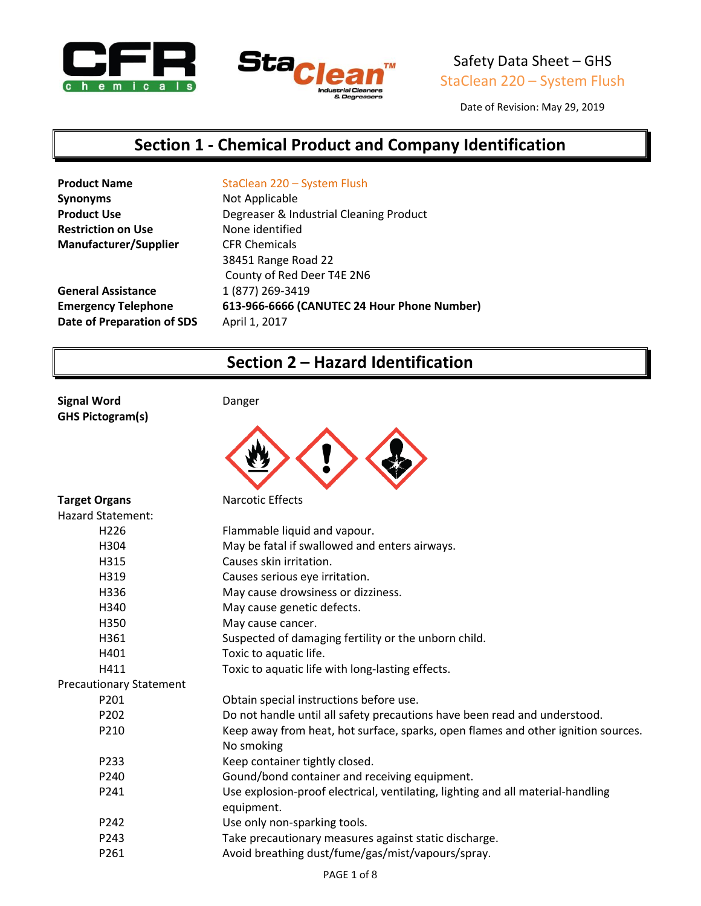



Date of Revision: May 29, 2019

### **Section 1 - Chemical Product and Company Identification**

| <b>Product Name</b>          | StaClean 220 - System Flush                 |
|------------------------------|---------------------------------------------|
| <b>Synonyms</b>              | Not Applicable                              |
| <b>Product Use</b>           | Degreaser & Industrial Cleaning Product     |
| <b>Restriction on Use</b>    | None identified                             |
| <b>Manufacturer/Supplier</b> | <b>CFR Chemicals</b>                        |
|                              | 38451 Range Road 22                         |
|                              | County of Red Deer T4E 2N6                  |
| <b>General Assistance</b>    | 1 (877) 269-3419                            |
| <b>Emergency Telephone</b>   | 613-966-6666 (CANUTEC 24 Hour Phone Number) |
| Date of Preparation of SDS   | April 1, 2017                               |
|                              |                                             |

## **Section 2 – Hazard Identification**

**Signal Word** Danger **GHS Pictogram(s)**



| <b>Target Organs</b>           | <b>Narcotic Effects</b>                                                           |
|--------------------------------|-----------------------------------------------------------------------------------|
| <b>Hazard Statement:</b>       |                                                                                   |
| H <sub>226</sub>               | Flammable liquid and vapour.                                                      |
| H304                           | May be fatal if swallowed and enters airways.                                     |
| H315                           | Causes skin irritation.                                                           |
| H319                           | Causes serious eye irritation.                                                    |
| H336                           | May cause drowsiness or dizziness.                                                |
| H340                           | May cause genetic defects.                                                        |
| H350                           | May cause cancer.                                                                 |
| H361                           | Suspected of damaging fertility or the unborn child.                              |
| H401                           | Toxic to aquatic life.                                                            |
| H411                           | Toxic to aquatic life with long-lasting effects.                                  |
| <b>Precautionary Statement</b> |                                                                                   |
| P <sub>201</sub>               | Obtain special instructions before use.                                           |
| P <sub>202</sub>               | Do not handle until all safety precautions have been read and understood.         |
| P210                           | Keep away from heat, hot surface, sparks, open flames and other ignition sources. |
|                                | No smoking                                                                        |
| P233                           | Keep container tightly closed.                                                    |
| P240                           | Gound/bond container and receiving equipment.                                     |
| P241                           | Use explosion-proof electrical, ventilating, lighting and all material-handling   |
|                                | equipment.                                                                        |
| P242                           | Use only non-sparking tools.                                                      |
| P243                           | Take precautionary measures against static discharge.                             |
| P261                           | Avoid breathing dust/fume/gas/mist/vapours/spray.                                 |
|                                |                                                                                   |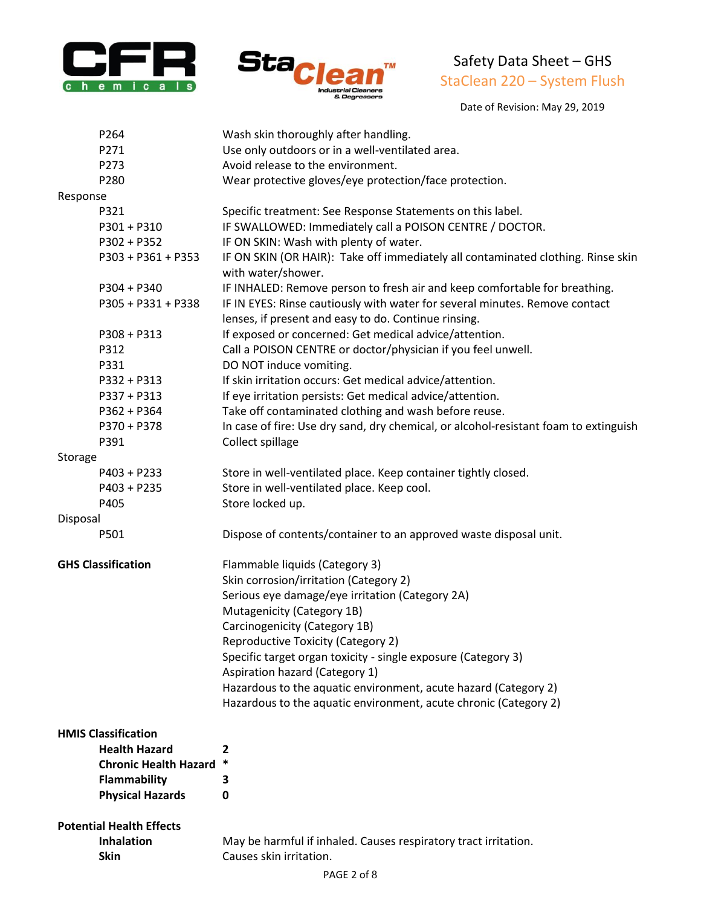



Date of Revision: May 29, 2019

| P264                            | Wash skin thoroughly after handling.                                                                                                |
|---------------------------------|-------------------------------------------------------------------------------------------------------------------------------------|
| P271                            | Use only outdoors or in a well-ventilated area.                                                                                     |
| P273                            | Avoid release to the environment.                                                                                                   |
| P280                            | Wear protective gloves/eye protection/face protection.                                                                              |
| Response                        |                                                                                                                                     |
| P321                            | Specific treatment: See Response Statements on this label.                                                                          |
| $P301 + P310$                   | IF SWALLOWED: Immediately call a POISON CENTRE / DOCTOR.                                                                            |
| P302 + P352                     | IF ON SKIN: Wash with plenty of water.                                                                                              |
| P303 + P361 + P353              | IF ON SKIN (OR HAIR): Take off immediately all contaminated clothing. Rinse skin<br>with water/shower.                              |
| $P304 + P340$                   | IF INHALED: Remove person to fresh air and keep comfortable for breathing.                                                          |
| P305 + P331 + P338              | IF IN EYES: Rinse cautiously with water for several minutes. Remove contact<br>lenses, if present and easy to do. Continue rinsing. |
| $P308 + P313$                   | If exposed or concerned: Get medical advice/attention.                                                                              |
| P312                            | Call a POISON CENTRE or doctor/physician if you feel unwell.                                                                        |
| P331                            | DO NOT induce vomiting.                                                                                                             |
| P332 + P313                     | If skin irritation occurs: Get medical advice/attention.                                                                            |
| P337 + P313                     | If eye irritation persists: Get medical advice/attention.                                                                           |
| $P362 + P364$                   | Take off contaminated clothing and wash before reuse.                                                                               |
| P370 + P378                     | In case of fire: Use dry sand, dry chemical, or alcohol-resistant foam to extinguish                                                |
| P391                            | Collect spillage                                                                                                                    |
| Storage                         |                                                                                                                                     |
| $P403 + P233$                   | Store in well-ventilated place. Keep container tightly closed.                                                                      |
| $P403 + P235$                   | Store in well-ventilated place. Keep cool.                                                                                          |
| P405                            | Store locked up.                                                                                                                    |
| Disposal                        |                                                                                                                                     |
| P501                            | Dispose of contents/container to an approved waste disposal unit.                                                                   |
| <b>GHS Classification</b>       | Flammable liquids (Category 3)                                                                                                      |
|                                 | Skin corrosion/irritation (Category 2)                                                                                              |
|                                 | Serious eye damage/eye irritation (Category 2A)                                                                                     |
|                                 | Mutagenicity (Category 1B)                                                                                                          |
|                                 | Carcinogenicity (Category 1B)                                                                                                       |
|                                 | Reproductive Toxicity (Category 2)                                                                                                  |
|                                 | Specific target organ toxicity - single exposure (Category 3)                                                                       |
|                                 | Aspiration hazard (Category 1)                                                                                                      |
|                                 | Hazardous to the aquatic environment, acute hazard (Category 2)                                                                     |
|                                 | Hazardous to the aquatic environment, acute chronic (Category 2)                                                                    |
| <b>HMIS Classification</b>      |                                                                                                                                     |
| <b>Health Hazard</b>            | 2                                                                                                                                   |
| <b>Chronic Health Hazard</b>    | *                                                                                                                                   |
| Flammability                    | З                                                                                                                                   |
| <b>Physical Hazards</b>         | 0                                                                                                                                   |
|                                 |                                                                                                                                     |
| <b>Potential Health Effects</b> |                                                                                                                                     |
| Inhalation                      | May be harmful if inhaled. Causes respiratory tract irritation.                                                                     |

**Skin** Causes skin irritation.

PAGE 2 of 8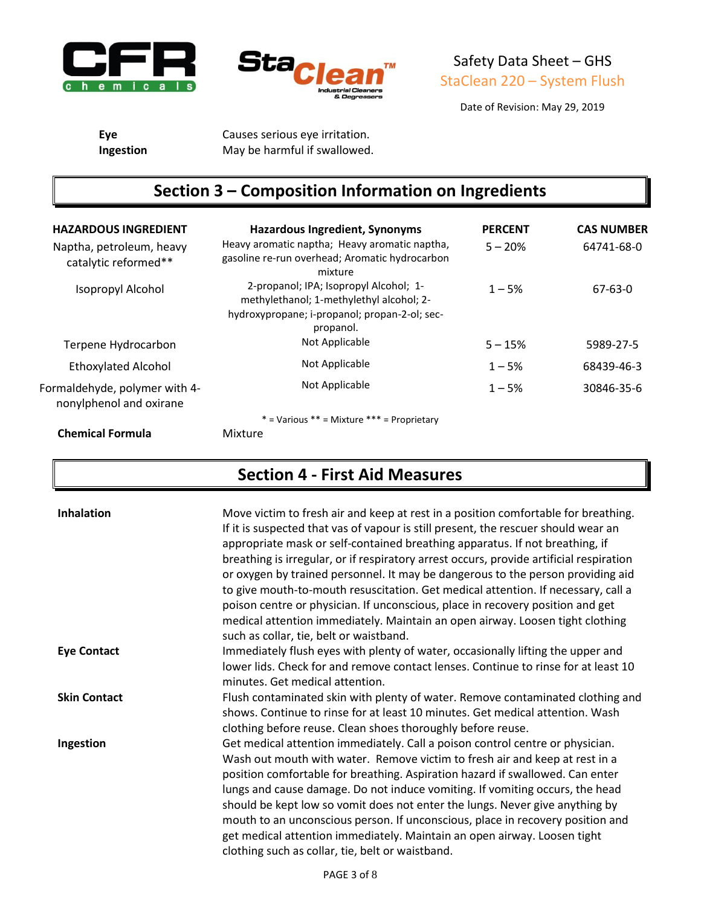



Date of Revision: May 29, 2019

**Eye** Causes serious eye irritation. **Ingestion** May be harmful if swallowed.

# **Section 3 – Composition Information on Ingredients**

| <b>HAZARDOUS INGREDIENT</b><br>Naptha, petroleum, heavy  | <b>Hazardous Ingredient, Synonyms</b><br>Heavy aromatic naptha; Heavy aromatic naptha,                                                           | <b>PERCENT</b><br>$5 - 20%$ | <b>CAS NUMBER</b><br>64741-68-0 |
|----------------------------------------------------------|--------------------------------------------------------------------------------------------------------------------------------------------------|-----------------------------|---------------------------------|
| catalytic reformed**                                     | gasoline re-run overhead; Aromatic hydrocarbon<br>mixture                                                                                        |                             |                                 |
| Isopropyl Alcohol                                        | 2-propanol; IPA; Isopropyl Alcohol; 1-<br>methylethanol; 1-methylethyl alcohol; 2-<br>hydroxypropane; i-propanol; propan-2-ol; sec-<br>propanol. | $1 - 5%$                    | 67-63-0                         |
| Terpene Hydrocarbon                                      | Not Applicable                                                                                                                                   | $5 - 15%$                   | 5989-27-5                       |
| <b>Ethoxylated Alcohol</b>                               | Not Applicable                                                                                                                                   | $1 - 5%$                    | 68439-46-3                      |
| Formaldehyde, polymer with 4-<br>nonylphenol and oxirane | Not Applicable                                                                                                                                   | $1 - 5%$                    | 30846-35-6                      |
|                                                          | $*$ = Various $**$ = Mixture $***$ = Proprietary                                                                                                 |                             |                                 |
| <b>Chemical Formula</b>                                  | Mixture                                                                                                                                          |                             |                                 |

### **Section 4 - First Aid Measures**

| <b>Inhalation</b>   | Move victim to fresh air and keep at rest in a position comfortable for breathing.<br>If it is suspected that vas of vapour is still present, the rescuer should wear an<br>appropriate mask or self-contained breathing apparatus. If not breathing, if<br>breathing is irregular, or if respiratory arrest occurs, provide artificial respiration<br>or oxygen by trained personnel. It may be dangerous to the person providing aid<br>to give mouth-to-mouth resuscitation. Get medical attention. If necessary, call a<br>poison centre or physician. If unconscious, place in recovery position and get<br>medical attention immediately. Maintain an open airway. Loosen tight clothing<br>such as collar, tie, belt or waistband. |
|---------------------|-------------------------------------------------------------------------------------------------------------------------------------------------------------------------------------------------------------------------------------------------------------------------------------------------------------------------------------------------------------------------------------------------------------------------------------------------------------------------------------------------------------------------------------------------------------------------------------------------------------------------------------------------------------------------------------------------------------------------------------------|
| <b>Eye Contact</b>  | Immediately flush eyes with plenty of water, occasionally lifting the upper and<br>lower lids. Check for and remove contact lenses. Continue to rinse for at least 10<br>minutes. Get medical attention.                                                                                                                                                                                                                                                                                                                                                                                                                                                                                                                                  |
| <b>Skin Contact</b> | Flush contaminated skin with plenty of water. Remove contaminated clothing and<br>shows. Continue to rinse for at least 10 minutes. Get medical attention. Wash<br>clothing before reuse. Clean shoes thoroughly before reuse.                                                                                                                                                                                                                                                                                                                                                                                                                                                                                                            |
| Ingestion           | Get medical attention immediately. Call a poison control centre or physician.<br>Wash out mouth with water. Remove victim to fresh air and keep at rest in a<br>position comfortable for breathing. Aspiration hazard if swallowed. Can enter<br>lungs and cause damage. Do not induce vomiting. If vomiting occurs, the head<br>should be kept low so vomit does not enter the lungs. Never give anything by<br>mouth to an unconscious person. If unconscious, place in recovery position and<br>get medical attention immediately. Maintain an open airway. Loosen tight<br>clothing such as collar, tie, belt or waistband.                                                                                                           |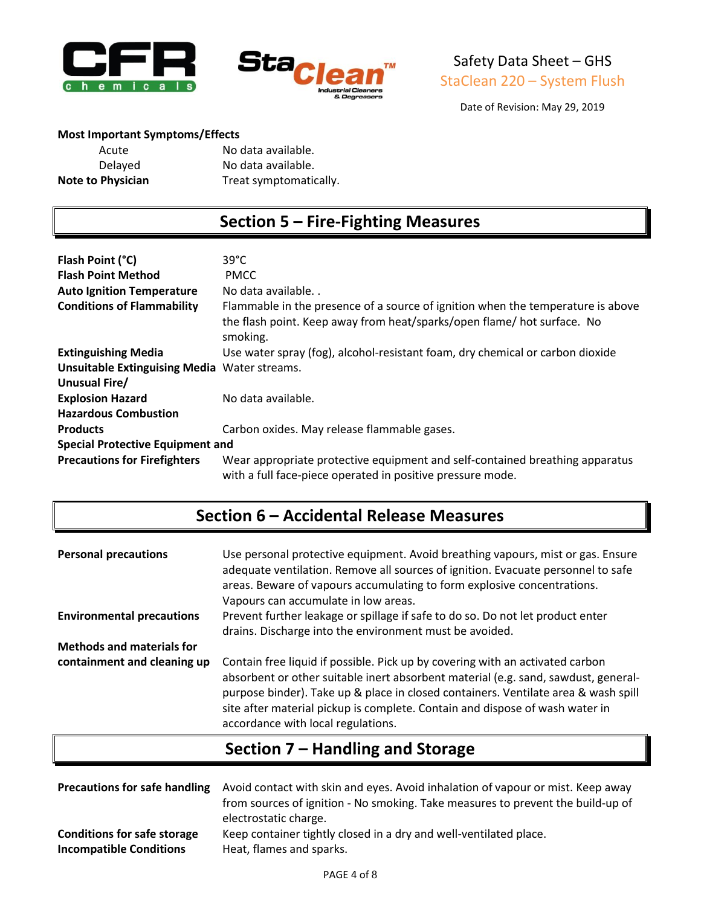



Date of Revision: May 29, 2019

#### **Most Important Symptoms/Effects**

| Acute                    | No data available.     |
|--------------------------|------------------------|
| Delayed                  | No data available.     |
| <b>Note to Physician</b> | Treat symptomatically. |

### **Section 5 – Fire-Fighting Measures**

| Flash Point (°C)<br><b>Flash Point Method</b>       | $39^{\circ}$ C<br><b>PMCC</b>                                                                                                                                          |
|-----------------------------------------------------|------------------------------------------------------------------------------------------------------------------------------------------------------------------------|
| <b>Auto Ignition Temperature</b>                    | No data available                                                                                                                                                      |
| <b>Conditions of Flammability</b>                   | Flammable in the presence of a source of ignition when the temperature is above<br>the flash point. Keep away from heat/sparks/open flame/ hot surface. No<br>smoking. |
| <b>Extinguishing Media</b>                          | Use water spray (fog), alcohol-resistant foam, dry chemical or carbon dioxide                                                                                          |
| <b>Unsuitable Extinguising Media Water streams.</b> |                                                                                                                                                                        |
| Unusual Fire/                                       |                                                                                                                                                                        |
| <b>Explosion Hazard</b>                             | No data available.                                                                                                                                                     |
| <b>Hazardous Combustion</b>                         |                                                                                                                                                                        |
| <b>Products</b>                                     | Carbon oxides. May release flammable gases.                                                                                                                            |
| <b>Special Protective Equipment and</b>             |                                                                                                                                                                        |
| <b>Precautions for Firefighters</b>                 | Wear appropriate protective equipment and self-contained breathing apparatus<br>with a full face-piece operated in positive pressure mode.                             |

### **Section 6 – Accidental Release Measures**

| <b>Personal precautions</b>      | Use personal protective equipment. Avoid breathing vapours, mist or gas. Ensure<br>adequate ventilation. Remove all sources of ignition. Evacuate personnel to safe<br>areas. Beware of vapours accumulating to form explosive concentrations.<br>Vapours can accumulate in low areas.                                                                                          |
|----------------------------------|---------------------------------------------------------------------------------------------------------------------------------------------------------------------------------------------------------------------------------------------------------------------------------------------------------------------------------------------------------------------------------|
| <b>Environmental precautions</b> | Prevent further leakage or spillage if safe to do so. Do not let product enter<br>drains. Discharge into the environment must be avoided.                                                                                                                                                                                                                                       |
| <b>Methods and materials for</b> |                                                                                                                                                                                                                                                                                                                                                                                 |
| containment and cleaning up      | Contain free liquid if possible. Pick up by covering with an activated carbon<br>absorbent or other suitable inert absorbent material (e.g. sand, sawdust, general-<br>purpose binder). Take up & place in closed containers. Ventilate area & wash spill<br>site after material pickup is complete. Contain and dispose of wash water in<br>accordance with local regulations. |

## **Section 7 – Handling and Storage**

| <b>Precautions for safe handling</b> | Avoid contact with skin and eyes. Avoid inhalation of vapour or mist. Keep away<br>from sources of ignition - No smoking. Take measures to prevent the build-up of<br>electrostatic charge. |
|--------------------------------------|---------------------------------------------------------------------------------------------------------------------------------------------------------------------------------------------|
| <b>Conditions for safe storage</b>   | Keep container tightly closed in a dry and well-ventilated place.                                                                                                                           |
| <b>Incompatible Conditions</b>       | Heat, flames and sparks.                                                                                                                                                                    |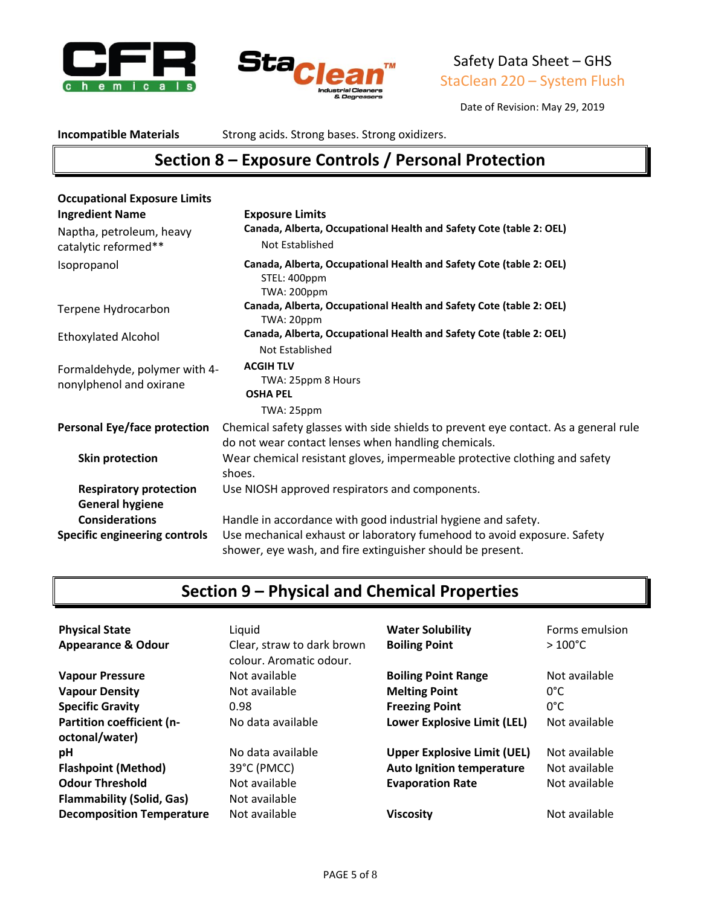



Date of Revision: May 29, 2019

**Incompatible Materials** Strong acids. Strong bases. Strong oxidizers.

## **Section 8 – Exposure Controls / Personal Protection**

| <b>Occupational Exposure Limits</b>                      |                                                                                                                                            |
|----------------------------------------------------------|--------------------------------------------------------------------------------------------------------------------------------------------|
| <b>Ingredient Name</b>                                   | <b>Exposure Limits</b>                                                                                                                     |
| Naptha, petroleum, heavy<br>catalytic reformed**         | Canada, Alberta, Occupational Health and Safety Cote (table 2: OEL)<br>Not Established                                                     |
| Isopropanol                                              | Canada, Alberta, Occupational Health and Safety Cote (table 2: OEL)<br>STEL: 400ppm<br><b>TWA: 200ppm</b>                                  |
| Terpene Hydrocarbon                                      | Canada, Alberta, Occupational Health and Safety Cote (table 2: OEL)<br>TWA: 20ppm                                                          |
| <b>Ethoxylated Alcohol</b>                               | Canada, Alberta, Occupational Health and Safety Cote (table 2: OEL)<br>Not Established                                                     |
| Formaldehyde, polymer with 4-<br>nonylphenol and oxirane | <b>ACGIH TLV</b><br>TWA: 25ppm 8 Hours<br><b>OSHA PEL</b><br>TWA: 25ppm                                                                    |
| <b>Personal Eye/face protection</b>                      | Chemical safety glasses with side shields to prevent eye contact. As a general rule<br>do not wear contact lenses when handling chemicals. |
| Skin protection                                          | Wear chemical resistant gloves, impermeable protective clothing and safety<br>shoes.                                                       |
| <b>Respiratory protection</b>                            | Use NIOSH approved respirators and components.                                                                                             |
| <b>General hygiene</b>                                   |                                                                                                                                            |
| <b>Considerations</b>                                    | Handle in accordance with good industrial hygiene and safety.                                                                              |
| <b>Specific engineering controls</b>                     | Use mechanical exhaust or laboratory fumehood to avoid exposure. Safety<br>shower, eye wash, and fire extinguisher should be present.      |

# **Section 9 – Physical and Chemical Properties**

| <b>Physical State</b><br><b>Appearance &amp; Odour</b> | Liquid<br>Clear, straw to dark brown<br>colour. Aromatic odour. | <b>Water Solubility</b><br><b>Boiling Point</b> | Forms emulsion<br>$>100^{\circ}$ C |
|--------------------------------------------------------|-----------------------------------------------------------------|-------------------------------------------------|------------------------------------|
| <b>Vapour Pressure</b>                                 | Not available                                                   | <b>Boiling Point Range</b>                      | Not available                      |
| <b>Vapour Density</b>                                  | Not available                                                   | <b>Melting Point</b>                            | $0^{\circ}$ C                      |
| <b>Specific Gravity</b>                                | 0.98                                                            | <b>Freezing Point</b>                           | 0°C                                |
| Partition coefficient (n-<br>octonal/water)            | No data available                                               | <b>Lower Explosive Limit (LEL)</b>              | Not available                      |
| рH                                                     | No data available                                               | <b>Upper Explosive Limit (UEL)</b>              | Not available                      |
| <b>Flashpoint (Method)</b>                             | 39°C (PMCC)                                                     | <b>Auto Ignition temperature</b>                | Not available                      |
| <b>Odour Threshold</b>                                 | Not available                                                   | <b>Evaporation Rate</b>                         | Not available                      |
| <b>Flammability (Solid, Gas)</b>                       | Not available                                                   |                                                 |                                    |
| <b>Decomposition Temperature</b>                       | Not available                                                   | <b>Viscosity</b>                                | Not available                      |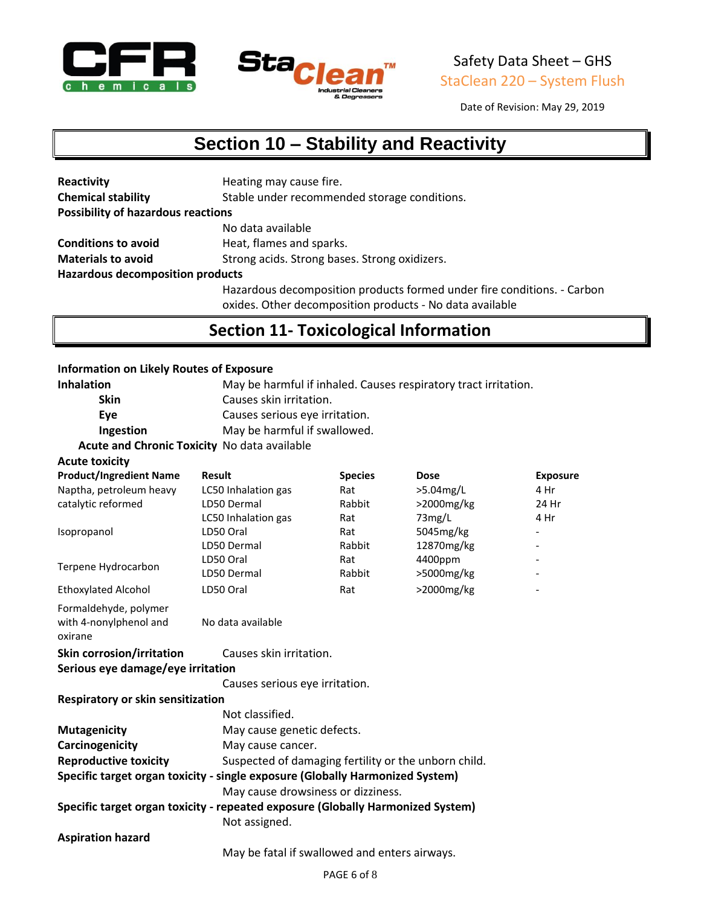



Date of Revision: May 29, 2019

# **Section 10 – Stability and Reactivity**

| Reactivity                                | Heating may cause fire.                                                 |  |
|-------------------------------------------|-------------------------------------------------------------------------|--|
| <b>Chemical stability</b>                 | Stable under recommended storage conditions.                            |  |
| <b>Possibility of hazardous reactions</b> |                                                                         |  |
|                                           | No data available                                                       |  |
| <b>Conditions to avoid</b>                | Heat, flames and sparks.                                                |  |
| <b>Materials to avoid</b>                 | Strong acids. Strong bases. Strong oxidizers.                           |  |
| <b>Hazardous decomposition products</b>   |                                                                         |  |
|                                           | Hazardous decomposition products formed under fire conditions. - Carbon |  |

oxides. Other decomposition products - No data available

### **Section 11- Toxicological Information**

#### **Information on Likely Routes of Exposure**

| <b>Inhalation</b>                                                               |                                                      | May be harmful if inhaled. Causes respiratory tract irritation. |            |                 |
|---------------------------------------------------------------------------------|------------------------------------------------------|-----------------------------------------------------------------|------------|-----------------|
| Skin                                                                            | Causes skin irritation.                              |                                                                 |            |                 |
| Eye                                                                             | Causes serious eye irritation.                       |                                                                 |            |                 |
| Ingestion                                                                       | May be harmful if swallowed.                         |                                                                 |            |                 |
| Acute and Chronic Toxicity No data available                                    |                                                      |                                                                 |            |                 |
| <b>Acute toxicity</b>                                                           |                                                      |                                                                 |            |                 |
| <b>Product/Ingredient Name</b>                                                  | <b>Result</b>                                        | <b>Species</b>                                                  | Dose       | <b>Exposure</b> |
| Naptha, petroleum heavy                                                         | LC50 Inhalation gas                                  | Rat                                                             | >5.04mg/L  | 4 Hr            |
| catalytic reformed                                                              | LD50 Dermal                                          | Rabbit                                                          | >2000mg/kg | 24 Hr           |
|                                                                                 | LC50 Inhalation gas                                  | Rat                                                             | 73mg/L     | 4 Hr            |
| Isopropanol                                                                     | LD50 Oral                                            | Rat                                                             | 5045mg/kg  |                 |
|                                                                                 | LD50 Dermal                                          | Rabbit                                                          | 12870mg/kg |                 |
| Terpene Hydrocarbon                                                             | LD50 Oral                                            | Rat                                                             | 4400ppm    |                 |
|                                                                                 | LD50 Dermal                                          | Rabbit                                                          | >5000mg/kg |                 |
| <b>Ethoxylated Alcohol</b>                                                      | LD50 Oral                                            | Rat                                                             | >2000mg/kg |                 |
| Formaldehyde, polymer<br>with 4-nonylphenol and<br>oxirane                      | No data available                                    |                                                                 |            |                 |
| <b>Skin corrosion/irritation</b>                                                | Causes skin irritation.                              |                                                                 |            |                 |
| Serious eye damage/eye irritation                                               |                                                      |                                                                 |            |                 |
|                                                                                 | Causes serious eye irritation.                       |                                                                 |            |                 |
| <b>Respiratory or skin sensitization</b>                                        |                                                      |                                                                 |            |                 |
|                                                                                 | Not classified.                                      |                                                                 |            |                 |
| <b>Mutagenicity</b>                                                             | May cause genetic defects.                           |                                                                 |            |                 |
| Carcinogenicity                                                                 | May cause cancer.                                    |                                                                 |            |                 |
| <b>Reproductive toxicity</b>                                                    | Suspected of damaging fertility or the unborn child. |                                                                 |            |                 |
| Specific target organ toxicity - single exposure (Globally Harmonized System)   |                                                      |                                                                 |            |                 |
|                                                                                 | May cause drowsiness or dizziness.                   |                                                                 |            |                 |
| Specific target organ toxicity - repeated exposure (Globally Harmonized System) |                                                      |                                                                 |            |                 |
|                                                                                 | Not assigned.                                        |                                                                 |            |                 |
| <b>Aspiration hazard</b>                                                        |                                                      |                                                                 |            |                 |
|                                                                                 | May be fatal if swallowed and enters airways.        |                                                                 |            |                 |
|                                                                                 |                                                      |                                                                 |            |                 |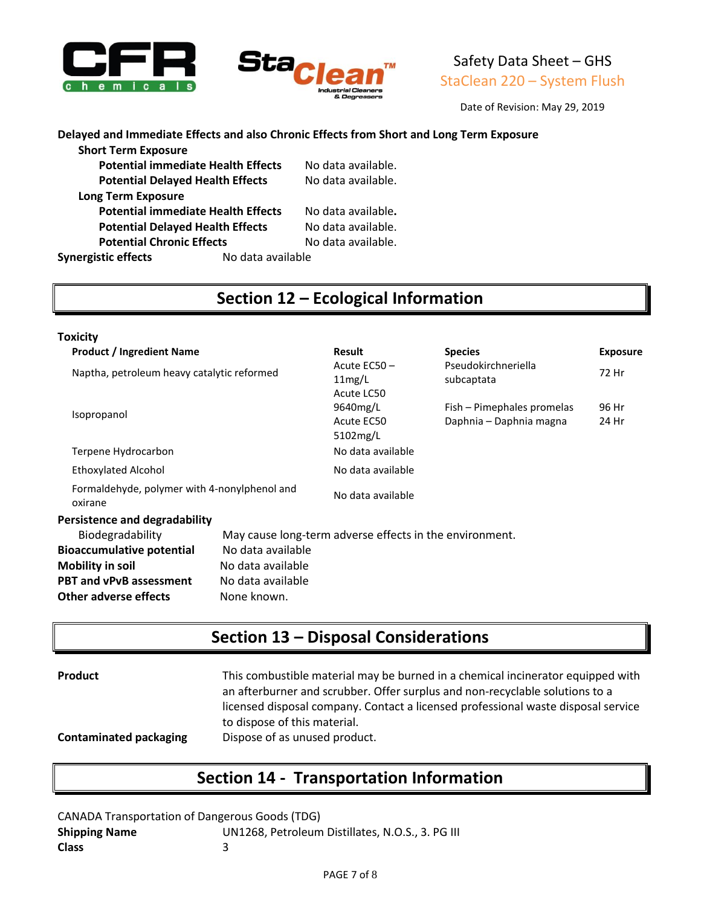



Date of Revision: May 29, 2019

#### **Delayed and Immediate Effects and also Chronic Effects from Short and Long Term Exposure**

| <b>Short Term Exposure</b>              |                                           |                    |
|-----------------------------------------|-------------------------------------------|--------------------|
|                                         | <b>Potential immediate Health Effects</b> | No data available. |
| <b>Potential Delayed Health Effects</b> |                                           | No data available. |
| <b>Long Term Exposure</b>               |                                           |                    |
|                                         | <b>Potential immediate Health Effects</b> | No data available. |
| <b>Potential Delayed Health Effects</b> |                                           | No data available. |
| <b>Potential Chronic Effects</b>        |                                           | No data available. |
| <b>Synergistic effects</b>              | No data available                         |                    |
|                                         |                                           |                    |

### **Section 12 – Ecological Information**

| Toxicity                                                                                                                                   |                                                                            |                                                         |                                                       |                 |
|--------------------------------------------------------------------------------------------------------------------------------------------|----------------------------------------------------------------------------|---------------------------------------------------------|-------------------------------------------------------|-----------------|
| <b>Product / Ingredient Name</b>                                                                                                           |                                                                            | <b>Result</b>                                           | <b>Species</b>                                        | <b>Exposure</b> |
| Naptha, petroleum heavy catalytic reformed                                                                                                 |                                                                            | Acute EC50-<br>11mg/L<br>Acute LC50                     | Pseudokirchneriella<br>subcaptata                     | 72 Hr           |
| Isopropanol                                                                                                                                |                                                                            | 9640mg/L<br>Acute EC50<br>5102mg/L                      | Fish - Pimephales promelas<br>Daphnia - Daphnia magna | 96 Hr<br>24 Hr  |
| Terpene Hydrocarbon                                                                                                                        |                                                                            | No data available                                       |                                                       |                 |
| Ethoxylated Alcohol                                                                                                                        |                                                                            | No data available                                       |                                                       |                 |
| Formaldehyde, polymer with 4-nonylphenol and<br>oxirane                                                                                    |                                                                            | No data available                                       |                                                       |                 |
| Persistence and degradability                                                                                                              |                                                                            |                                                         |                                                       |                 |
| Biodegradability<br><b>Bioaccumulative potential</b><br><b>Mobility in soil</b><br><b>PBT and vPvB assessment</b><br>Other adverse effects | No data available<br>No data available<br>No data available<br>None known. | May cause long-term adverse effects in the environment. |                                                       |                 |

## **Section 13 – Disposal Considerations**

| Product                       | This combustible material may be burned in a chemical incinerator equipped with<br>an afterburner and scrubber. Offer surplus and non-recyclable solutions to a<br>licensed disposal company. Contact a licensed professional waste disposal service<br>to dispose of this material. |
|-------------------------------|--------------------------------------------------------------------------------------------------------------------------------------------------------------------------------------------------------------------------------------------------------------------------------------|
| <b>Contaminated packaging</b> | Dispose of as unused product.                                                                                                                                                                                                                                                        |

### **Section 14 - Transportation Information**

CANADA Transportation of Dangerous Goods (TDG) **Shipping Name** UN1268, Petroleum Distillates, N.O.S., 3. PG III **Class** 3